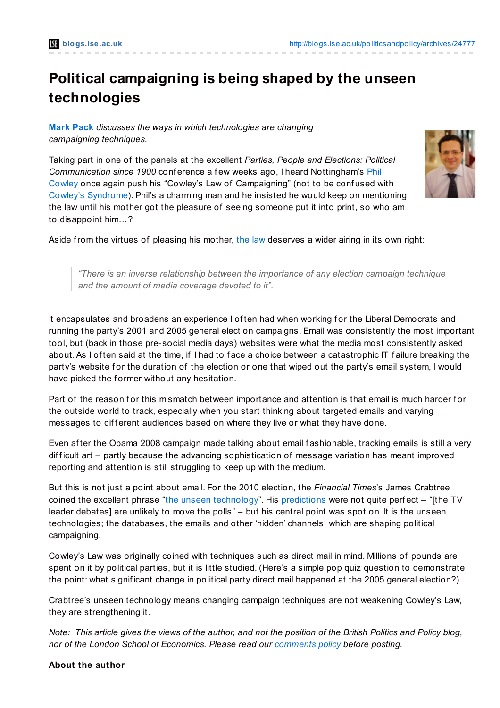## **Political campaigning is being shaped by the unseen technologies**

**[Mark](http://blogs.lse.ac.uk/politicsandpolicy/?p=24777#Author) Pack** *discusses the ways in which technologies are changing campaigning techniques.*

Taking part in one of the panels at the excellent *Parties, People and Elections: Political [Communication](https://twitter.com/#!/philipjcowley) since 1900* conf erence a f ew weeks ago, I heard Nottingham's Phil Cowley once again push his "Cowley's Law of Campaigning" (not to be conf used with Cowley's [Syndrome](http://nottspolitics.org/2011/08/15/cowleys-syndrome/)). Phil's a charming man and he insisted he would keep on mentioning the law until his mother got the pleasure of seeing someone put it into print, so who am I to disappoint him…?



Aside from the virtues of pleasing his mother, [the](http://electionblog2010.blogspot.co.uk/2010/04/out-with-new-in-with-old.html) law deserves a wider airing in its own right:

*"There is an inverse relationship between the importance of any election campaign technique and the amount of media coverage devoted to it".*

It encapsulates and broadens an experience I often had when working for the Liberal Democrats and running the party's 2001 and 2005 general election campaigns. Email was consistently the most important tool, but (back in those pre-social media days) websites were what the media most consistently asked about. As I of ten said at the time, if I had to face a choice between a catastrophic IT failure breaking the party's website for the duration of the election or one that wiped out the party's email system, I would have picked the former without any hesitation.

Part of the reason for this mismatch between importance and attention is that email is much harder for the outside world to track, especially when you start thinking about targeted emails and varying messages to different audiences based on where they live or what they have done.

Even af ter the Obama 2008 campaign made talking about email f ashionable, tracking emails is still a very difficult art – partly because the advancing sophistication of message variation has meant improved reporting and attention is still struggling to keep up with the medium.

But this is not just a point about email. For the 2010 election, the *Financial Times*'s James Crabtree coined the excellent phrase "the unseen [technology](http://www.markpack.org.uk/23165/what-you-see-isnt-what-you-get-with-online-politics/)". His [predictions](http://www.ft.com/cms/s/0/4a33f8d4-27c5-11df-863d-00144feabdc0.html#axzz1RY3Y8Lbj) were not quite perfect  $-$  "[the TV leader debates] are unlikely to move the polls" – but his central point was spot on. It is the unseen technologies; the databases, the emails and other 'hidden' channels, which are shaping political campaigning.

Cowley's Law was originally coined with techniques such as direct mail in mind. Millions of pounds are spent on it by political parties, but it is little studied. (Here's a simple pop quiz question to demonstrate the point: what signif icant change in political party direct mail happened at the 2005 general election?)

Crabtree's unseen technology means changing campaign techniques are not weakening Cowley's Law, they are strengthening it.

Note: This article gives the views of the author, and not the position of the British Politics and Policy blog. *nor of the London School of Economics. Please read our [comments](http://blogs.lse.ac.uk/politicsandpolicy/about/#Comments_Policy) policy before posting.*

## **About the author**